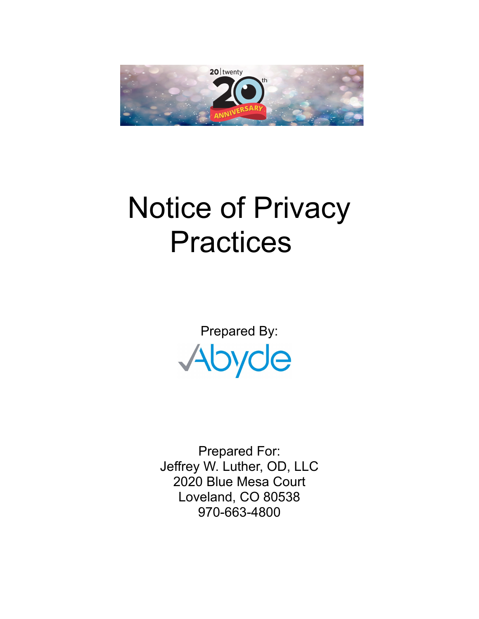

# Notice of Privacy **Practices**

Prepared By: Abyde

Prepared For: Jeffrey W. Luther, OD, LLC 2020 Blue Mesa Court Loveland, CO 80538 970-663-4800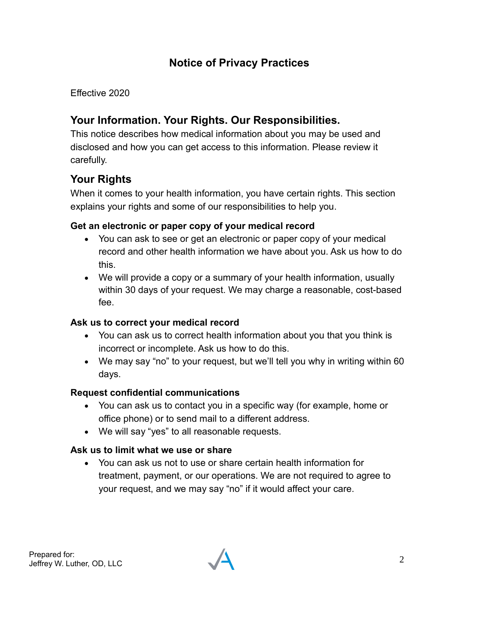# **Notice of Privacy Practices**

Effective 2020

# **Your Information. Your Rights. Our Responsibilities.**

This notice describes how medical information about you may be used and disclosed and how you can get access to this information. Please review it carefully.

# **Your Rights**

When it comes to your health information, you have certain rights. This section explains your rights and some of our responsibilities to help you.

#### **Get an electronic or paper copy of your medical record**

- You can ask to see or get an electronic or paper copy of your medical record and other health information we have about you. Ask us how to do this.
- We will provide a copy or a summary of your health information, usually within 30 days of your request. We may charge a reasonable, cost-based fee.

#### **Ask us to correct your medical record**

- You can ask us to correct health information about you that you think is incorrect or incomplete. Ask us how to do this.
- We may say "no" to your request, but we'll tell you why in writing within 60 days.

#### **Request confidential communications**

- You can ask us to contact you in a specific way (for example, home or office phone) or to send mail to a different address.
- We will say "yes" to all reasonable requests.

#### **Ask us to limit what we use or share**

 You can ask us not to use or share certain health information for treatment, payment, or our operations. We are not required to agree to your request, and we may say "no" if it would affect your care.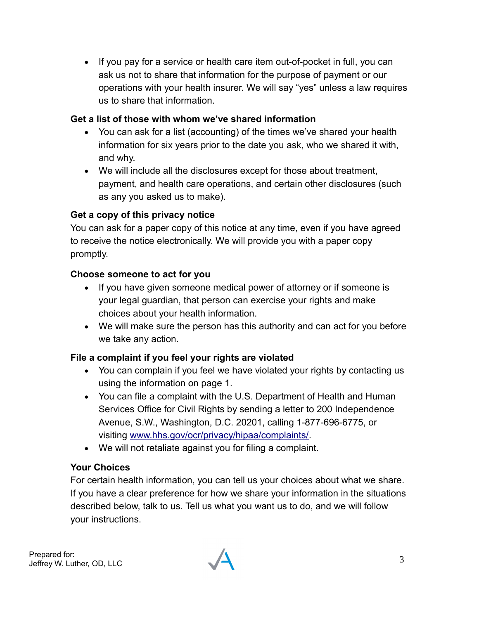• If you pay for a service or health care item out-of-pocket in full, you can ask us not to share that information for the purpose of payment or our operations with your health insurer. We will say "yes" unless a law requires us to share that information.

#### **Get a list of those with whom we've shared information**

- You can ask for a list (accounting) of the times we've shared your health information for six years prior to the date you ask, who we shared it with, and why.
- We will include all the disclosures except for those about treatment, payment, and health care operations, and certain other disclosures (such as any you asked us to make).

### **Get a copy of this privacy notice**

You can ask for a paper copy of this notice at any time, even if you have agreed to receive the notice electronically. We will provide you with a paper copy promptly.

#### **Choose someone to act for you**

- If you have given someone medical power of attorney or if someone is your legal guardian, that person can exercise your rights and make choices about your health information.
- We will make sure the person has this authority and can act for you before we take any action.

#### **File a complaint if you feel your rights are violated**

- You can complain if you feel we have violated your rights by contacting us using the information on page 1.
- You can file a complaint with the U.S. Department of Health and Human Services Office for Civil Rights by sending a letter to 200 Independence Avenue, S.W., Washington, D.C. 20201, calling 1-877-696-6775, or visiting [www.hhs.gov/ocr/privacy/hipaa/complaints/.](http://www.hhs.gov/ocr/privacy/hipaa/complaints/)
- We will not retaliate against you for filing a complaint.

#### **Your Choices**

For certain health information, you can tell us your choices about what we share. If you have a clear preference for how we share your information in the situations described below, talk to us. Tell us what you want us to do, and we will follow your instructions.

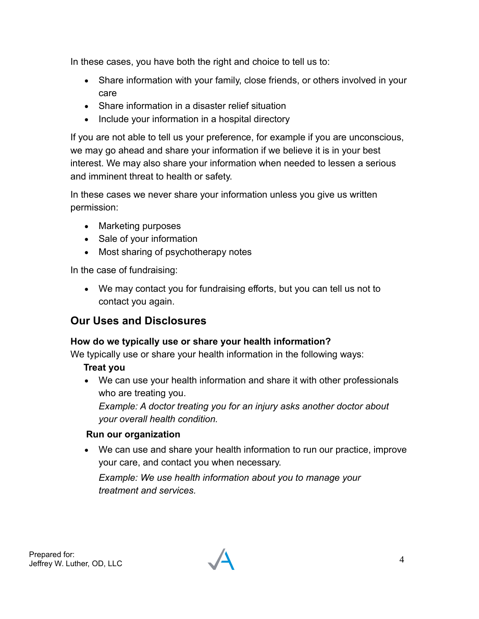In these cases, you have both the right and choice to tell us to:

- Share information with your family, close friends, or others involved in your care
- Share information in a disaster relief situation
- Include your information in a hospital directory

If you are not able to tell us your preference, for example if you are unconscious, we may go ahead and share your information if we believe it is in your best interest. We may also share your information when needed to lessen a serious and imminent threat to health or safety.

In these cases we never share your information unless you give us written permission:

- Marketing purposes
- Sale of your information
- Most sharing of psychotherapy notes

In the case of fundraising:

 We may contact you for fundraising efforts, but you can tell us not to contact you again.

## **Our Uses and Disclosures**

#### **How do we typically use or share your health information?**

We typically use or share your health information in the following ways:

#### **Treat you**

 We can use your health information and share it with other professionals who are treating you.

*Example: A doctor treating you for an injury asks another doctor about your overall health condition.*

#### **Run our organization**

 We can use and share your health information to run our practice, improve your care, and contact you when necessary.

*Example: We use health information about you to manage your treatment and services.*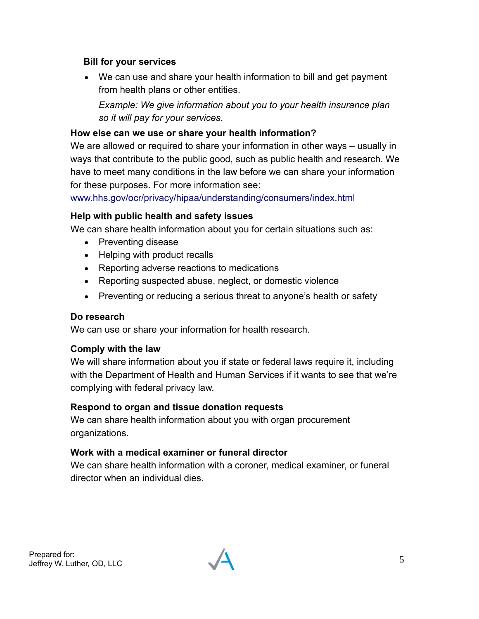#### **Bill for your services**

 We can use and share your health information to bill and get payment from health plans or other entities.

*Example: We give information about you to your health insurance plan so it will pay for your services.*

#### **How else can we use or share your health information?**

We are allowed or required to share your information in other ways – usually in ways that contribute to the public good, such as public health and research. We have to meet many conditions in the law before we can share your information for these purposes. For more information see:

[www.hhs.gov/ocr/privacy/hipaa/understanding/consumers/index.html](http://www.hhs.gov/ocr/privacy/hipaa/understanding/consumers/index.html)

#### **Help with public health and safety issues**

We can share health information about you for certain situations such as:

- Preventing disease
- Helping with product recalls
- Reporting adverse reactions to medications
- Reporting suspected abuse, neglect, or domestic violence
- Preventing or reducing a serious threat to anyone's health or safety

#### **Do research**

We can use or share your information for health research.

#### **Comply with the law**

We will share information about you if state or federal laws require it, including with the Department of Health and Human Services if it wants to see that we're complying with federal privacy law.

#### **Respond to organ and tissue donation requests**

We can share health information about you with organ procurement organizations.

#### **Work with a medical examiner or funeral director**

We can share health information with a coroner, medical examiner, or funeral director when an individual dies.